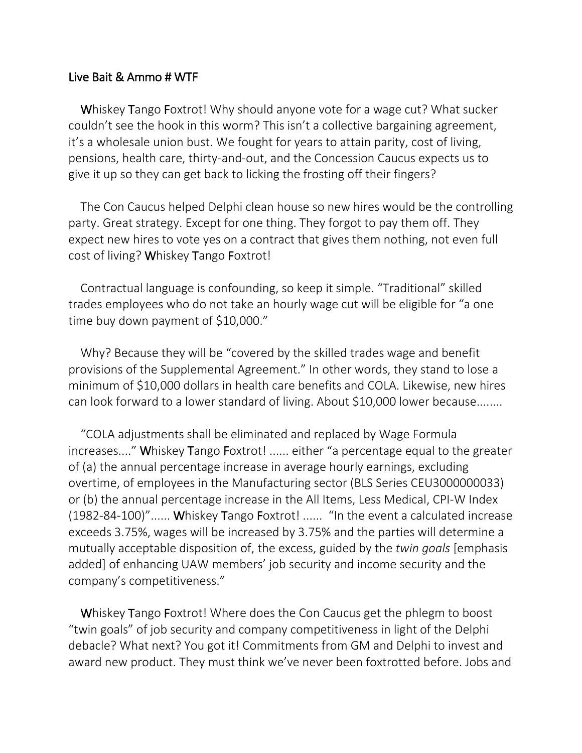## Live Bait & Ammo # WTF

Whiskey Tango Foxtrot! Why should anyone vote for a wage cut? What sucker couldn't see the hook in this worm? This isn't a collective bargaining agreement, it's a wholesale union bust. We fought for years to attain parity, cost of living, pensions, health care, thirty-and-out, and the Concession Caucus expects us to give it up so they can get back to licking the frosting off their fingers?

The Con Caucus helped Delphi clean house so new hires would be the controlling party. Great strategy. Except for one thing. They forgot to pay them off. They expect new hires to vote yes on a contract that gives them nothing, not even full cost of living? Whiskey Tango Foxtrot!

Contractual language is confounding, so keep it simple. "Traditional" skilled trades employees who do not take an hourly wage cut will be eligible for "a one time buy down payment of \$10,000."

Why? Because they will be "covered by the skilled trades wage and benefit provisions of the Supplemental Agreement." In other words, they stand to lose a minimum of \$10,000 dollars in health care benefits and COLA. Likewise, new hires can look forward to a lower standard of living. About \$10,000 lower because........

"COLA adjustments shall be eliminated and replaced by Wage Formula increases...." Whiskey Tango Foxtrot! ...... either "a percentage equal to the greater of (a) the annual percentage increase in average hourly earnings, excluding overtime, of employees in the Manufacturing sector (BLS Series CEU3000000033) or (b) the annual percentage increase in the All Items, Less Medical, CPI-W Index (1982-84-100)"...... Whiskey Tango Foxtrot! ...... "In the event a calculated increase exceeds 3.75%, wages will be increased by 3.75% and the parties will determine a mutually acceptable disposition of, the excess, guided by the *twin goals* [emphasis added] of enhancing UAW members' job security and income security and the company's competitiveness."

Whiskey Tango Foxtrot! Where does the Con Caucus get the phlegm to boost "twin goals" of job security and company competitiveness in light of the Delphi debacle? What next? You got it! Commitments from GM and Delphi to invest and award new product. They must think we've never been foxtrotted before. Jobs and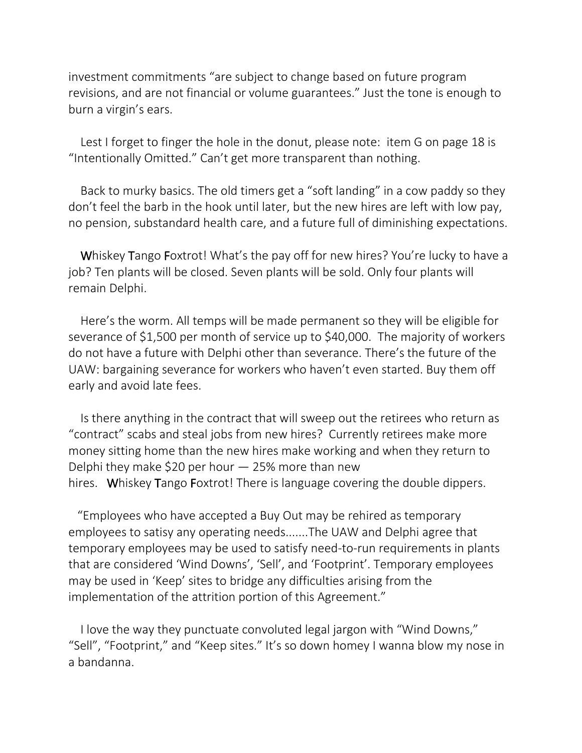investment commitments "are subject to change based on future program revisions, and are not financial or volume guarantees." Just the tone is enough to burn a virgin's ears.

Lest I forget to finger the hole in the donut, please note: item G on page 18 is "Intentionally Omitted." Can't get more transparent than nothing.

Back to murky basics. The old timers get a "soft landing" in a cow paddy so they don't feel the barb in the hook until later, but the new hires are left with low pay, no pension, substandard health care, and a future full of diminishing expectations.

Whiskey Tango Foxtrot! What's the pay off for new hires? You're lucky to have a job? Ten plants will be closed. Seven plants will be sold. Only four plants will remain Delphi.

Here's the worm. All temps will be made permanent so they will be eligible for severance of \$1,500 per month of service up to \$40,000. The majority of workers do not have a future with Delphi other than severance. There's the future of the UAW: bargaining severance for workers who haven't even started. Buy them off early and avoid late fees.

Is there anything in the contract that will sweep out the retirees who return as "contract" scabs and steal jobs from new hires? Currently retirees make more money sitting home than the new hires make working and when they return to Delphi they make \$20 per hour  $-$  25% more than new hires. Whiskey Tango Foxtrot! There is language covering the double dippers.

 "Employees who have accepted a Buy Out may be rehired as temporary employees to satisy any operating needs.......The UAW and Delphi agree that temporary employees may be used to satisfy need-to-run requirements in plants that are considered 'Wind Downs', 'Sell', and 'Footprint'. Temporary employees may be used in 'Keep' sites to bridge any difficulties arising from the implementation of the attrition portion of this Agreement."

I love the way they punctuate convoluted legal jargon with "Wind Downs," "Sell", "Footprint," and "Keep sites." It's so down homey I wanna blow my nose in a bandanna.